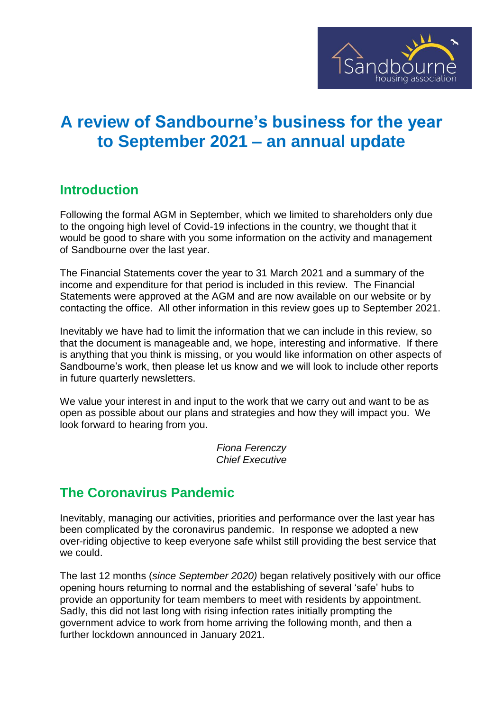

# **A review of Sandbourne's business for the year to September 2021 – an annual update**

## **Introduction**

Following the formal AGM in September, which we limited to shareholders only due to the ongoing high level of Covid-19 infections in the country, we thought that it would be good to share with you some information on the activity and management of Sandbourne over the last year.

The Financial Statements cover the year to 31 March 2021 and a summary of the income and expenditure for that period is included in this review. The Financial Statements were approved at the AGM and are now available on our website or by contacting the office. All other information in this review goes up to September 2021.

Inevitably we have had to limit the information that we can include in this review, so that the document is manageable and, we hope, interesting and informative. If there is anything that you think is missing, or you would like information on other aspects of Sandbourne's work, then please let us know and we will look to include other reports in future quarterly newsletters.

We value your interest in and input to the work that we carry out and want to be as open as possible about our plans and strategies and how they will impact you. We look forward to hearing from you.

> *Fiona Ferenczy Chief Executive*

# **The Coronavirus Pandemic**

Inevitably, managing our activities, priorities and performance over the last year has been complicated by the coronavirus pandemic. In response we adopted a new over-riding objective to keep everyone safe whilst still providing the best service that we could.

The last 12 months (*since September 2020)* began relatively positively with our office opening hours returning to normal and the establishing of several 'safe' hubs to provide an opportunity for team members to meet with residents by appointment. Sadly, this did not last long with rising infection rates initially prompting the government advice to work from home arriving the following month, and then a further lockdown announced in January 2021.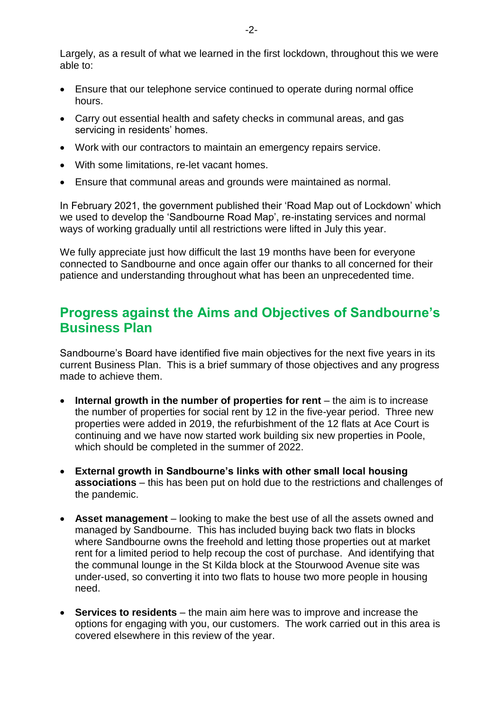Largely, as a result of what we learned in the first lockdown, throughout this we were able to:

- Ensure that our telephone service continued to operate during normal office hours.
- Carry out essential health and safety checks in communal areas, and gas servicing in residents' homes.
- Work with our contractors to maintain an emergency repairs service.
- With some limitations, re-let vacant homes.
- Ensure that communal areas and grounds were maintained as normal.

In February 2021, the government published their 'Road Map out of Lockdown' which we used to develop the 'Sandbourne Road Map', re-instating services and normal ways of working gradually until all restrictions were lifted in July this year.

We fully appreciate just how difficult the last 19 months have been for everyone connected to Sandbourne and once again offer our thanks to all concerned for their patience and understanding throughout what has been an unprecedented time.

#### **Progress against the Aims and Objectives of Sandbourne's Business Plan**

Sandbourne's Board have identified five main objectives for the next five years in its current Business Plan. This is a brief summary of those objectives and any progress made to achieve them.

- **Internal growth in the number of properties for rent** the aim is to increase the number of properties for social rent by 12 in the five-year period. Three new properties were added in 2019, the refurbishment of the 12 flats at Ace Court is continuing and we have now started work building six new properties in Poole, which should be completed in the summer of 2022.
- **External growth in Sandbourne's links with other small local housing associations** – this has been put on hold due to the restrictions and challenges of the pandemic.
- **Asset management** looking to make the best use of all the assets owned and managed by Sandbourne. This has included buying back two flats in blocks where Sandbourne owns the freehold and letting those properties out at market rent for a limited period to help recoup the cost of purchase. And identifying that the communal lounge in the St Kilda block at the Stourwood Avenue site was under-used, so converting it into two flats to house two more people in housing need.
- **Services to residents** the main aim here was to improve and increase the options for engaging with you, our customers. The work carried out in this area is covered elsewhere in this review of the year.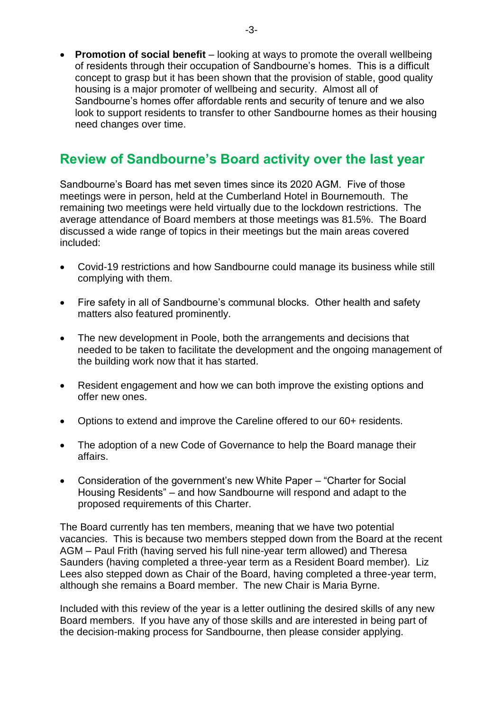**Promotion of social benefit** – looking at ways to promote the overall wellbeing of residents through their occupation of Sandbourne's homes. This is a difficult concept to grasp but it has been shown that the provision of stable, good quality housing is a major promoter of wellbeing and security. Almost all of Sandbourne's homes offer affordable rents and security of tenure and we also look to support residents to transfer to other Sandbourne homes as their housing need changes over time.

## **Review of Sandbourne's Board activity over the last year**

Sandbourne's Board has met seven times since its 2020 AGM. Five of those meetings were in person, held at the Cumberland Hotel in Bournemouth. The remaining two meetings were held virtually due to the lockdown restrictions. The average attendance of Board members at those meetings was 81.5%. The Board discussed a wide range of topics in their meetings but the main areas covered included:

- Covid-19 restrictions and how Sandbourne could manage its business while still complying with them.
- Fire safety in all of Sandbourne's communal blocks. Other health and safety matters also featured prominently.
- The new development in Poole, both the arrangements and decisions that needed to be taken to facilitate the development and the ongoing management of the building work now that it has started.
- Resident engagement and how we can both improve the existing options and offer new ones.
- Options to extend and improve the Careline offered to our 60+ residents.
- The adoption of a new Code of Governance to help the Board manage their affairs.
- Consideration of the government's new White Paper "Charter for Social Housing Residents" – and how Sandbourne will respond and adapt to the proposed requirements of this Charter.

The Board currently has ten members, meaning that we have two potential vacancies. This is because two members stepped down from the Board at the recent AGM – Paul Frith (having served his full nine-year term allowed) and Theresa Saunders (having completed a three-year term as a Resident Board member). Liz Lees also stepped down as Chair of the Board, having completed a three-year term, although she remains a Board member. The new Chair is Maria Byrne.

Included with this review of the year is a letter outlining the desired skills of any new Board members. If you have any of those skills and are interested in being part of the decision-making process for Sandbourne, then please consider applying.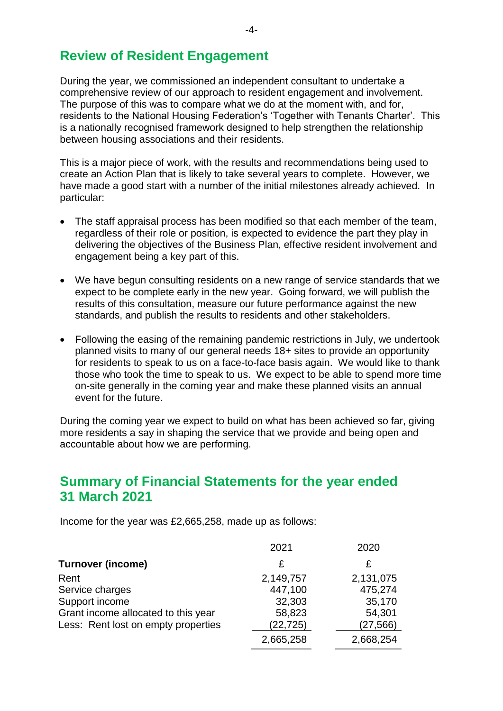#### **Review of Resident Engagement**

During the year, we commissioned an independent consultant to undertake a comprehensive review of our approach to resident engagement and involvement. The purpose of this was to compare what we do at the moment with, and for, residents to the National Housing Federation's 'Together with Tenants Charter'. This is a nationally recognised framework designed to help strengthen the relationship between housing associations and their residents.

This is a major piece of work, with the results and recommendations being used to create an Action Plan that is likely to take several years to complete. However, we have made a good start with a number of the initial milestones already achieved. In particular:

- The staff appraisal process has been modified so that each member of the team, regardless of their role or position, is expected to evidence the part they play in delivering the objectives of the Business Plan, effective resident involvement and engagement being a key part of this.
- We have begun consulting residents on a new range of service standards that we expect to be complete early in the new year. Going forward, we will publish the results of this consultation, measure our future performance against the new standards, and publish the results to residents and other stakeholders.
- Following the easing of the remaining pandemic restrictions in July, we undertook planned visits to many of our general needs 18+ sites to provide an opportunity for residents to speak to us on a face-to-face basis again. We would like to thank those who took the time to speak to us. We expect to be able to spend more time on-site generally in the coming year and make these planned visits an annual event for the future.

During the coming year we expect to build on what has been achieved so far, giving more residents a say in shaping the service that we provide and being open and accountable about how we are performing.

#### **Summary of Financial Statements for the year ended 31 March 2021**

Income for the year was £2,665,258, made up as follows:

|                                     | 2021      | 2020      |
|-------------------------------------|-----------|-----------|
| <b>Turnover (income)</b>            | £         | £         |
| Rent                                | 2,149,757 | 2,131,075 |
| Service charges                     | 447,100   | 475,274   |
| Support income                      | 32,303    | 35,170    |
| Grant income allocated to this year | 58,823    | 54,301    |
| Less: Rent lost on empty properties | (22, 725) | (27,566)  |
|                                     | 2,665,258 | 2,668,254 |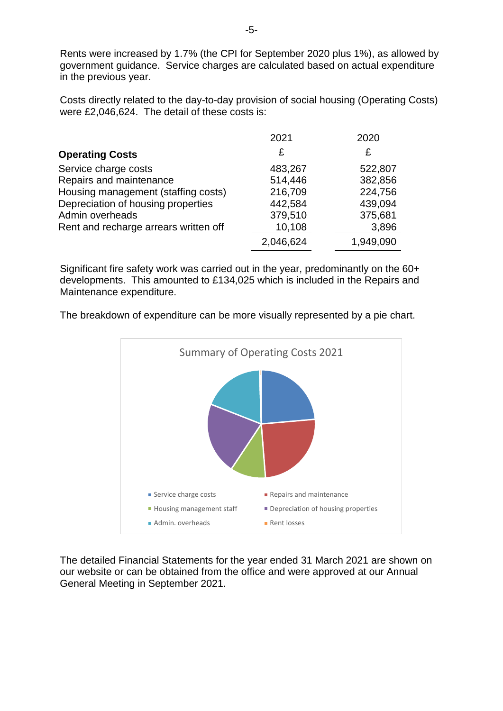Rents were increased by 1.7% (the CPI for September 2020 plus 1%), as allowed by government guidance. Service charges are calculated based on actual expenditure in the previous year.

Costs directly related to the day-to-day provision of social housing (Operating Costs) were £2,046,624. The detail of these costs is:

|                                       | 2021      | 2020      |
|---------------------------------------|-----------|-----------|
| <b>Operating Costs</b>                | £         | £         |
| Service charge costs                  | 483,267   | 522,807   |
| Repairs and maintenance               | 514,446   | 382,856   |
| Housing management (staffing costs)   | 216,709   | 224,756   |
| Depreciation of housing properties    | 442,584   | 439,094   |
| Admin overheads                       | 379,510   | 375,681   |
| Rent and recharge arrears written off | 10,108    | 3,896     |
|                                       | 2,046,624 | 1,949,090 |

Significant fire safety work was carried out in the year, predominantly on the 60+ developments. This amounted to £134,025 which is included in the Repairs and Maintenance expenditure.

The breakdown of expenditure can be more visually represented by a pie chart.



The detailed Financial Statements for the year ended 31 March 2021 are shown on our website or can be obtained from the office and were approved at our Annual General Meeting in September 2021.